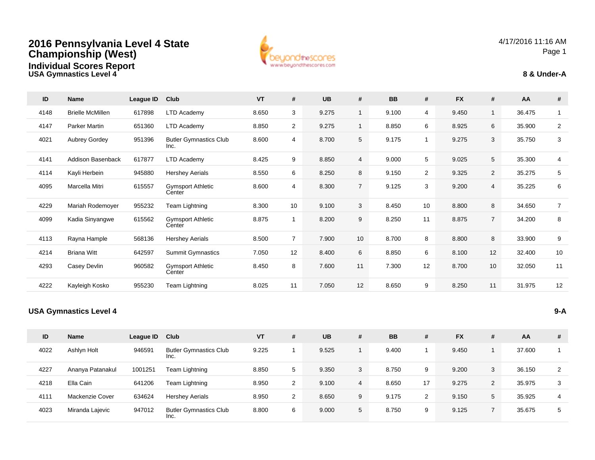



4/17/2016 11:16 AMPage 1



| ID   | <b>Name</b>                   | League ID | Club                                  | <b>VT</b> | #               | <b>UB</b> | #              | <b>BB</b> | #              | <b>FX</b> | #               | AA     | #              |
|------|-------------------------------|-----------|---------------------------------------|-----------|-----------------|-----------|----------------|-----------|----------------|-----------|-----------------|--------|----------------|
| 4148 | <b>Brielle McMillen</b>       | 617898    | <b>LTD Academy</b>                    | 8.650     | 3               | 9.275     | $\mathbf{1}$   | 9.100     | 4              | 9.450     | $\mathbf{1}$    | 36.475 | $\mathbf{1}$   |
| 4147 | <b>Parker Martin</b>          | 651360    | <b>LTD Academy</b>                    | 8.850     | $\overline{2}$  | 9.275     | $\mathbf{1}$   | 8.850     | 6              | 8.925     | 6               | 35.900 | $\overline{a}$ |
| 4021 | Aubrey Gordey                 | 951396    | <b>Butler Gymnastics Club</b><br>Inc. | 8.600     | 4               | 8.700     | 5              | 9.175     | $\overline{1}$ | 9.275     | 3               | 35.750 | 3              |
| 4141 | Addison Basenback             | 617877    | <b>LTD Academy</b>                    | 8.425     | 9               | 8.850     | $\overline{4}$ | 9.000     | 5              | 9.025     | $5\phantom{.0}$ | 35.300 | 4              |
| 4114 | Kayli Herbein                 | 945880    | <b>Hershey Aerials</b>                | 8.550     | 6               | 8.250     | 8              | 9.150     | $\overline{2}$ | 9.325     | $\overline{2}$  | 35.275 | 5              |
| 4095 | Marcella Mitri                | 615557    | <b>Gymsport Athletic</b><br>Center    | 8.600     | $\overline{4}$  | 8.300     | $\overline{7}$ | 9.125     | 3              | 9.200     | $\overline{4}$  | 35.225 | 6              |
| 4229 | Mariah Rodemoyer              | 955232    | Team Lightning                        | 8.300     | 10 <sup>1</sup> | 9.100     | 3              | 8.450     | 10             | 8.800     | 8               | 34.650 | $\overline{7}$ |
| 4099 | Kadia Sinyangwe               | 615562    | <b>Gymsport Athletic</b><br>Center    | 8.875     | $\mathbf{1}$    | 8.200     | 9              | 8.250     | 11             | 8.875     | $\overline{7}$  | 34.200 | 8              |
| 4113 | Rayna Hample                  | 568136    | <b>Hershey Aerials</b>                | 8.500     | $\overline{7}$  | 7.900     | 10             | 8.700     | 8              | 8.800     | 8               | 33.900 | 9              |
| 4214 | <b>Briana Witt</b>            | 642597    | <b>Summit Gymnastics</b>              | 7.050     | 12              | 8.400     | 6              | 8.850     | 6              | 8.100     | 12              | 32.400 | $10$           |
| 4293 | Casey Devlin                  | 960582    | <b>Gymsport Athletic</b><br>Center    | 8.450     | 8               | 7.600     | 11             | 7.300     | 12             | 8.700     | 10              | 32.050 | 11             |
| 4222 | Kayleigh Kosko                | 955230    | Team Lightning                        | 8.025     | 11              | 7.050     | 12             | 8.650     | 9              | 8.250     | 11              | 31.975 | 12             |
|      | <b>USA Gymnastics Level 4</b> |           |                                       |           |                 |           |                |           |                |           |                 |        | $9-A$          |

| ID   | <b>Name</b>      | League ID | Club                                  | <b>VT</b> | # | <b>UB</b> | # | <b>BB</b> | #  | <b>FX</b> | # | AA     | # |
|------|------------------|-----------|---------------------------------------|-----------|---|-----------|---|-----------|----|-----------|---|--------|---|
| 4022 | Ashlyn Holt      | 946591    | <b>Butler Gymnastics Club</b><br>Inc. | 9.225     |   | 9.525     |   | 9.400     |    | 9.450     |   | 37.600 |   |
| 4227 | Ananya Patanakul | 1001251   | Team Lightning                        | 8.850     | 5 | 9.350     | 3 | 8.750     | 9  | 9.200     | 3 | 36.150 | 2 |
| 4218 | Ella Cain        | 641206    | Team Lightning                        | 8.950     | 2 | 9.100     | 4 | 8.650     | 17 | 9.275     | 2 | 35.975 | 3 |
| 4111 | Mackenzie Cover  | 634624    | <b>Hershey Aerials</b>                | 8.950     | 2 | 8.650     | 9 | 9.175     | 2  | 9.150     | 5 | 35.925 | 4 |
| 4023 | Miranda Lajevic  | 947012    | <b>Butler Gymnastics Club</b><br>Inc. | 8.800     | 6 | 9.000     | 5 | 8.750     | 9  | 9.125     |   | 35.675 | 5 |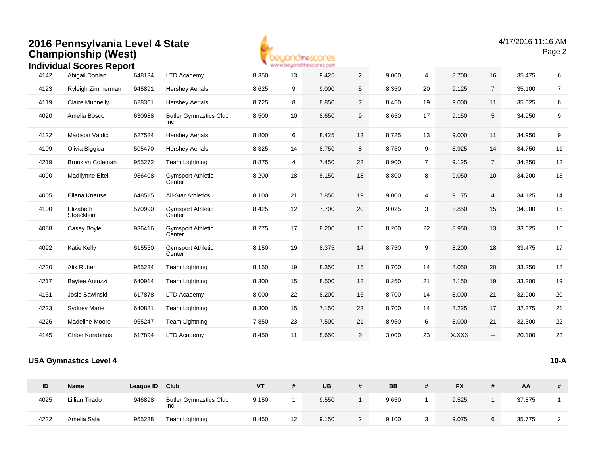

|      | <u>INGIVIQUAL SCOLES REPOLL</u> |        |                                       |       |    | All All Advisors (Reno and the Montenegal and investiga- |                |       |    |       |                 |        |                |
|------|---------------------------------|--------|---------------------------------------|-------|----|----------------------------------------------------------|----------------|-------|----|-------|-----------------|--------|----------------|
| 4142 | Abigail Donlan                  | 648134 | LTD Academy                           | 8.350 | 13 | 9.425                                                    | $\overline{2}$ | 9.000 | 4  | 8.700 | 16              | 35.475 | 6              |
| 4123 | Ryleigh Zimmerman               | 945891 | <b>Hershey Aerials</b>                | 8.625 | 9  | 9.000                                                    | 5              | 8.350 | 20 | 9.125 | $\overline{7}$  | 35.100 | $\overline{7}$ |
| 4119 | <b>Claire Munnelly</b>          | 628361 | <b>Hershey Aerials</b>                | 8.725 | 8  | 8.850                                                    | $\overline{7}$ | 8.450 | 19 | 9.000 | 11              | 35.025 | 8              |
| 4020 | Amelia Bosco                    | 630988 | <b>Butler Gymnastics Club</b><br>Inc. | 8.500 | 10 | 8.650                                                    | 9              | 8.650 | 17 | 9.150 | 5               | 34.950 | 9              |
| 4122 | Madison Vaidic                  | 627524 | <b>Hershey Aerials</b>                | 8.800 | 6  | 8.425                                                    | 13             | 8.725 | 13 | 9.000 | 11              | 34.950 | 9              |
| 4109 | Olivia Biggica                  | 505470 | <b>Hershey Aerials</b>                | 8.325 | 14 | 8.750                                                    | 8              | 8.750 | 9  | 8.925 | 14              | 34.750 | 11             |
| 4219 | <b>Brooklyn Coleman</b>         | 955272 | Team Lightning                        | 8.875 | 4  | 7.450                                                    | 22             | 8.900 | 7  | 9.125 | $\overline{7}$  | 34.350 | 12             |
| 4090 | Madilynne Eitel                 | 936408 | <b>Gymsport Athletic</b><br>Center    | 8.200 | 18 | 8.150                                                    | 18             | 8.800 | 8  | 9.050 | 10 <sup>°</sup> | 34.200 | 13             |
| 4005 | Eliana Knause                   | 648515 | <b>All-Star Athletics</b>             | 8.100 | 21 | 7.850                                                    | 19             | 9.000 | 4  | 9.175 | $\overline{4}$  | 34.125 | 14             |
| 4100 | Elizabeth<br>Stoecklein         | 570990 | <b>Gymsport Athletic</b><br>Center    | 8.425 | 12 | 7.700                                                    | 20             | 9.025 | 3  | 8.850 | 15              | 34.000 | 15             |
| 4088 | Casey Boyle                     | 936416 | <b>Gymsport Athletic</b><br>Center    | 8.275 | 17 | 8.200                                                    | 16             | 8.200 | 22 | 8.950 | 13              | 33.625 | 16             |
| 4092 | Katie Kelly                     | 615550 | <b>Gymsport Athletic</b><br>Center    | 8.150 | 19 | 8.375                                                    | 14             | 8.750 | 9  | 8.200 | 18              | 33.475 | $17$           |
| 4230 | <b>Alix Rutter</b>              | 955234 | Team Lightning                        | 8.150 | 19 | 8.350                                                    | 15             | 8.700 | 14 | 8.050 | 20              | 33.250 | 18             |
| 4217 | Baylee Antuzzi                  | 640914 | Team Lightning                        | 8.300 | 15 | 8.500                                                    | 12             | 8.250 | 21 | 8.150 | 19              | 33.200 | 19             |
| 4151 | Josie Sawinski                  | 617878 | LTD Academy                           | 8.000 | 22 | 8.200                                                    | 16             | 8.700 | 14 | 8.000 | 21              | 32.900 | 20             |
| 4223 | <b>Sydney Marie</b>             | 640881 | Team Lightning                        | 8.300 | 15 | 7.150                                                    | 23             | 8.700 | 14 | 8.225 | 17              | 32.375 | 21             |
| 4226 | Madeline Moore                  | 955247 | Team Lightning                        | 7.850 | 23 | 7.500                                                    | 21             | 8.950 | 6  | 8.000 | 21              | 32.300 | 22             |
| 4145 | Chloe Karabinos                 | 617894 | <b>LTD Academy</b>                    | 8.450 | 11 | 8.650                                                    | 9              | 3.000 | 23 | X.XXX | $\sim$          | 20.100 | 23             |
|      |                                 |        |                                       |       |    |                                                          |                |       |    |       |                 |        |                |

#### **USA Gymnastics Level 4**

**10-A**

| ID   | <b>Name</b>    | League ID | Club                                  | VT    |    | <b>UB</b> |            | <b>BB</b> | <b>FX</b> | AA     |   |
|------|----------------|-----------|---------------------------------------|-------|----|-----------|------------|-----------|-----------|--------|---|
| 4025 | Lillian Tirado | 946898    | <b>Butler Gymnastics Club</b><br>Inc. | 9.150 |    | 9.550     |            | 9.650     | 9.525     | 37.875 |   |
| 4232 | Amelia Sala    | 955238    | Team Lightning                        | 8.450 | 12 | 9.150     | $\epsilon$ | 9.100     | 9.075     | 35.775 | ົ |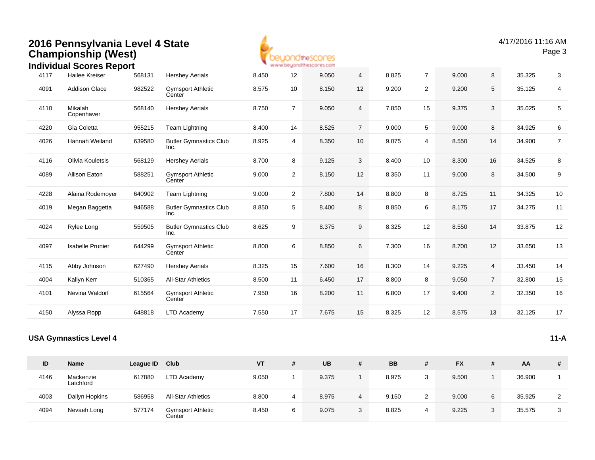

4/17/2016 11:16 AMPage 3

|          | Individual Scores Report      |           |                                       |       |                  | * www.beyondthescores.com |                |           |                |           |                |        |                  |
|----------|-------------------------------|-----------|---------------------------------------|-------|------------------|---------------------------|----------------|-----------|----------------|-----------|----------------|--------|------------------|
| 4117     | <b>Hailee Kreiser</b>         | 568131    | <b>Hershey Aerials</b>                | 8.450 | 12               | 9.050                     | 4              | 8.825     | $\overline{7}$ | 9.000     | 8              | 35.325 | 3                |
| 4091     | Addison Glace                 | 982522    | <b>Gymsport Athletic</b><br>Center    | 8.575 | 10               | 8.150                     | 12             | 9.200     | $\overline{2}$ | 9.200     | $\sqrt{5}$     | 35.125 | 4                |
| 4110     | Mikalah<br>Copenhaver         | 568140    | <b>Hershey Aerials</b>                | 8.750 | $\overline{7}$   | 9.050                     | 4              | 7.850     | 15             | 9.375     | 3              | 35.025 | $5\phantom{.0}$  |
| 4220     | Gia Coletta                   | 955215    | Team Lightning                        | 8.400 | 14               | 8.525                     | $\overline{7}$ | 9.000     | 5              | 9.000     | 8              | 34.925 | $\,6$            |
| 4026     | Hannah Weiland                | 639580    | <b>Butler Gymnastics Club</b><br>Inc. | 8.925 | 4                | 8.350                     | 10             | 9.075     | $\overline{4}$ | 8.550     | 14             | 34.900 | $\overline{7}$   |
| 4116     | Olivia Kouletsis              | 568129    | <b>Hershey Aerials</b>                | 8.700 | 8                | 9.125                     | 3              | 8.400     | 10             | 8.300     | 16             | 34.525 | $\bf 8$          |
| 4089     | Allison Eaton                 | 588251    | <b>Gymsport Athletic</b><br>Center    | 9.000 | $\overline{c}$   | 8.150                     | 12             | 8.350     | 11             | 9.000     | 8              | 34.500 | $\boldsymbol{9}$ |
| 4228     | Alaina Rodemoyer              | 640902    | Team Lightning                        | 9.000 | $\overline{2}$   | 7.800                     | 14             | 8.800     | 8              | 8.725     | 11             | 34.325 | $10$             |
| 4019     | Megan Baggetta                | 946588    | <b>Butler Gymnastics Club</b><br>Inc. | 8.850 | $\,$ 5 $\,$      | 8.400                     | $\bf 8$        | 8.850     | 6              | 8.175     | 17             | 34.275 | 11               |
| 4024     | Rylee Long                    | 559505    | <b>Butler Gymnastics Club</b><br>Inc. | 8.625 | $\boldsymbol{9}$ | 8.375                     | 9              | 8.325     | 12             | 8.550     | 14             | 33.875 | 12               |
| 4097     | <b>Isabelle Prunier</b>       | 644299    | <b>Gymsport Athletic</b><br>Center    | 8.800 | 6                | 8.850                     | $\,6\,$        | 7.300     | 16             | 8.700     | 12             | 33.650 | 13               |
| 4115     | Abby Johnson                  | 627490    | <b>Hershey Aerials</b>                | 8.325 | 15               | 7.600                     | 16             | 8.300     | 14             | 9.225     | $\overline{4}$ | 33.450 | 14               |
| 4004     | Kallyn Kerr                   | 510365    | All-Star Athletics                    | 8.500 | 11               | 6.450                     | 17             | 8.800     | 8              | 9.050     | $\overline{7}$ | 32.800 | 15               |
| 4101     | Nevina Waldorf                | 615564    | <b>Gymsport Athletic</b><br>Center    | 7.950 | 16               | 8.200                     | 11             | 6.800     | 17             | 9.400     | 2              | 32.350 | 16               |
| 4150     | Alyssa Ropp                   | 648818    | <b>LTD Academy</b>                    | 7.550 | 17               | 7.675                     | 15             | 8.325     | 12             | 8.575     | 13             | 32.125 | 17               |
|          | <b>USA Gymnastics Level 4</b> |           |                                       |       |                  |                           |                |           |                |           |                |        | $11-A$           |
| $\sf ID$ | <b>Name</b>                   | League ID | Club                                  | VT    | $\#$             | <b>UB</b>                 | $\pmb{\#}$     | <b>BB</b> | $\#$           | <b>FX</b> | $\pmb{\#}$     | AA     | $\pmb{\#}$       |
| 4146     | Mackenzie<br>Latchford        | 617880    | <b>LTD Academy</b>                    | 9.050 | $\mathbf{1}$     | 9.375                     | $\mathbf{1}$   | 8.975     | 3              | 9.500     | $\mathbf{1}$   | 36.900 | $\mathbf{1}$     |
| 4003     | Dailyn Hopkins                | 586958    | <b>All-Star Athletics</b>             | 8.800 | 4                | 8.975                     | $\overline{4}$ | 9.150     | $\overline{2}$ | 9.000     | 6              | 35.925 | $\overline{a}$   |
| 4094     | Nevaeh Long                   | 577174    | <b>Gymsport Athletic</b><br>Center    | 8.450 | 6                | 9.075                     | 3              | 8.825     | $\overline{4}$ | 9.225     | 3              | 35.575 | 3                |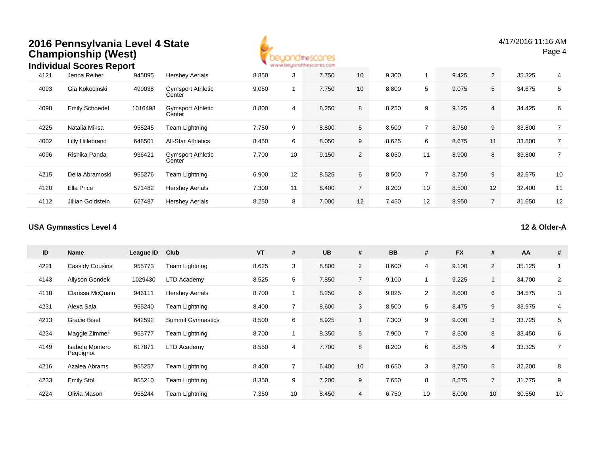

4/17/2016 11:16 AMPage 4

#### 4121 Jenna Reiber <sup>945895</sup> Hershey Aerials 8.850 <sup>3</sup> 7.750 <sup>10</sup> 9.300 <sup>1</sup> 9.425 <sup>2</sup> 35.325 <sup>4</sup> 4093 Gia Kokocinski <sup>499038</sup> Gymsport Athletic Center 9.0500 1 7.750 10 8.800 5 9.075 5 34.675 5 4098 Emily Schoedel <sup>1016498</sup> Gymsport Athletic **Center** 8.800 <sup>4</sup> 8.250 <sup>8</sup> 8.250 <sup>9</sup> 9.125 <sup>4</sup> 34.425 <sup>6</sup> 4225 Natalia Miksa <sup>955245</sup> Team Lightning 7.750 <sup>9</sup> 8.800 <sup>5</sup> 8.500 <sup>7</sup> 8.750 <sup>9</sup> 33.800 <sup>7</sup> 4002 Lilly Hillebrand <sup>648501</sup> All-Star Athletics 8.450 <sup>6</sup> 8.050 <sup>9</sup> 8.625 <sup>6</sup> 8.675 <sup>11</sup> 33.800 <sup>7</sup> 4096 Rishika Panda <sup>936421</sup> Gymsport Athletic Center7.700 <sup>10</sup> 9.150 <sup>2</sup> 8.050 <sup>11</sup> 8.900 <sup>8</sup> 33.800 <sup>7</sup> 4215 Delia Abramoski <sup>955276</sup> Team Lightning 6.900 <sup>12</sup> 8.525 <sup>6</sup> 8.500 <sup>7</sup> 8.750 <sup>9</sup> 32.675 <sup>10</sup> 4120 Ella Price <sup>571482</sup> Hershey Aerials 7.300 <sup>11</sup> 8.400 <sup>7</sup> 8.200 <sup>10</sup> 8.500 <sup>12</sup> 32.400 <sup>11</sup> 4112 Jillian Goldstein <sup>627487</sup> Hershey Aerials 8.250 <sup>8</sup> 7.000 <sup>12</sup> 7.450 <sup>12</sup> 8.950 <sup>7</sup> 31.650 <sup>12</sup> **Individual Scores Report**945895

#### **USA Gymnastics Level 4**

**12 & Older-A**

| ID   | Name                         | League ID | Club                     | <b>VT</b> | #              | <b>UB</b> | #               | <b>BB</b> | #              | <b>FX</b> | #              | AA     | #              |
|------|------------------------------|-----------|--------------------------|-----------|----------------|-----------|-----------------|-----------|----------------|-----------|----------------|--------|----------------|
| 4221 | Cassidy Cousins              | 955773    | Team Lightning           | 8.625     | 3              | 8.800     | $\overline{2}$  | 8.600     | 4              | 9.100     | $\overline{2}$ | 35.125 | 1              |
| 4143 | Allyson Gondek               | 1029430   | LTD Academy              | 8.525     | 5              | 7.850     | $\overline{7}$  | 9.100     |                | 9.225     |                | 34.700 | $\overline{2}$ |
| 4118 | Clarissa McQuain             | 946111    | <b>Hershey Aerials</b>   | 8.700     |                | 8.250     | 6               | 9.025     | $\overline{2}$ | 8.600     | 6              | 34.575 | 3              |
| 4231 | Alexa Sala                   | 955240    | Team Lightning           | 8.400     |                | 8.600     | 3               | 8.500     | 5              | 8.475     | 9              | 33.975 | $\overline{4}$ |
| 4213 | <b>Gracie Bisel</b>          | 642592    | <b>Summit Gymnastics</b> | 8.500     | 6              | 8.925     |                 | 7.300     | 9              | 9.000     | 3              | 33.725 | 5              |
| 4234 | Maggie Zimmer                | 955777    | Team Lightning           | 8.700     |                | 8.350     | 5               | 7.900     | $\overline{7}$ | 8.500     | 8              | 33.450 | 6              |
| 4149 | Isabela Montero<br>Pequignot | 617871    | <b>LTD Academy</b>       | 8.550     | 4              | 7.700     | 8               | 8.200     | 6              | 8.875     | 4              | 33.325 | $\overline{7}$ |
| 4216 | Azalea Abrams                | 955257    | Team Lightning           | 8.400     | $\overline{7}$ | 6.400     | 10 <sup>°</sup> | 8.650     | 3              | 8.750     | 5              | 32.200 | 8              |
| 4233 | <b>Emily Stoll</b>           | 955210    | Team Lightning           | 8.350     | 9              | 7.200     | 9               | 7.650     | 8              | 8.575     | $\overline{7}$ | 31.775 | 9              |
| 4224 | Olivia Mason                 | 955244    | Team Lightning           | 7.350     | 10             | 8.450     | 4               | 6.750     | 10             | 8.000     | 10             | 30.550 | 10             |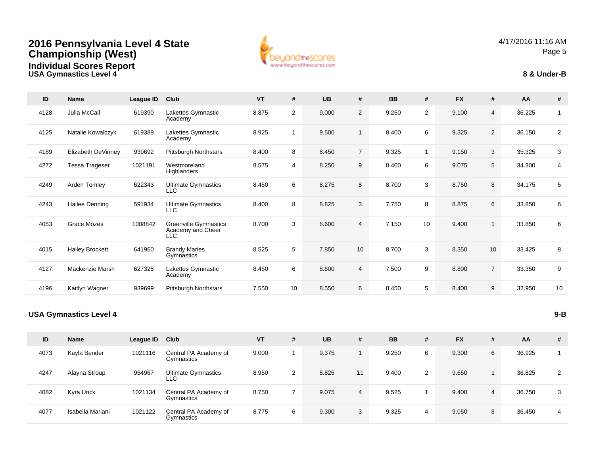**USA Gymnastics Level 4**



4/17/2016 11:16 AMPage 5

#### **8 & Under-B**

| ID   | Name                   | League ID | Club                                                      | <b>VT</b> | #              | <b>UB</b> | #              | <b>BB</b> | #              | <b>FX</b> | #               | AA     | #              |
|------|------------------------|-----------|-----------------------------------------------------------|-----------|----------------|-----------|----------------|-----------|----------------|-----------|-----------------|--------|----------------|
| 4128 | Julia McCall           | 619390    | Lakettes Gymnastic<br>Academy                             | 8.875     | $\overline{2}$ | 9.000     | $\overline{2}$ | 9.250     | $\overline{2}$ | 9.100     | $\overline{4}$  | 36.225 | 1              |
| 4125 | Natalie Kowalczyk      | 619389    | Lakettes Gymnastic<br>Academy                             | 8.925     | $\mathbf 1$    | 9.500     | $\mathbf{1}$   | 8.400     | 6              | 9.325     | 2               | 36.150 | $\overline{2}$ |
| 4189 | Elizabeth DeVinney     | 939692    | <b>Pittsburgh Northstars</b>                              | 8.400     | 8              | 8.450     | $\overline{7}$ | 9.325     | $\overline{1}$ | 9.150     | 3               | 35.325 | 3              |
| 4272 | Tessa Trageser         | 1021191   | Westmoreland<br>Highlanders                               | 8.575     | $\overline{4}$ | 8.250     | 9              | 8.400     | 6              | 9.075     | 5               | 34.300 | $\overline{4}$ |
| 4249 | Arden Tomley           | 622343    | <b>Ultimate Gymnastics</b><br>LLC                         | 8.450     | 6              | 8.275     | 8              | 8.700     | 3              | 8.750     | 8               | 34.175 | 5              |
| 4243 | Hailee Denning         | 591934    | <b>Ultimate Gymnastics</b><br>LLC                         | 8.400     | 8              | 8.825     | 3              | 7.750     | 8              | 8.875     | 6               | 33.850 | 6              |
| 4053 | Grace Mozes            | 1008842   | <b>Greenville Gymnastics</b><br>Academy and Cheer<br>LLC. | 8.700     | 3              | 8.600     | $\overline{4}$ | 7.150     | 10             | 9.400     | $\overline{1}$  | 33.850 | 6              |
| 4015 | <b>Hailey Brockett</b> | 641960    | <b>Brandy Maries</b><br>Gymnastics                        | 8.525     | 5              | 7.850     | 10             | 8.700     | 3              | 8.350     | 10 <sup>1</sup> | 33.425 | 8              |
| 4127 | Mackenzie Marsh        | 627328    | Lakettes Gymnastic<br>Academy                             | 8.450     | 6              | 8.600     | 4              | 7.500     | 9              | 8.800     | $\overline{7}$  | 33.350 | 9              |
| 4196 | Kaitlyn Wagner         | 939699    | <b>Pittsburgh Northstars</b>                              | 7.550     | 10             | 8.550     | 6              | 8.450     | 5              | 8.400     | 9               | 32.950 | 10             |

#### **USA Gymnastics Level 4**

| ID   | Name             | League ID | Club                                | <b>VT</b> | # | <b>UB</b> | #              | <b>BB</b> | # | <b>FX</b> | #              | AA     | # |
|------|------------------|-----------|-------------------------------------|-----------|---|-----------|----------------|-----------|---|-----------|----------------|--------|---|
| 4073 | Kayla Bender     | 1021116   | Central PA Academy of<br>Gymnastics | 9.000     |   | 9.375     |                | 9.250     | 6 | 9.300     | 6              | 36.925 |   |
| 4247 | Alayna Stroup    | 954967    | <b>Ultimate Gymnastics</b><br>LLC   | 8.950     | 2 | 8.825     | 11             | 9.400     | 2 | 9.650     |                | 36.825 | 2 |
| 4082 | Kyra Urick       | 1021134   | Central PA Academy of<br>Gymnastics | 8.750     |   | 9.075     | $\overline{4}$ | 9.525     |   | 9.400     | $\overline{4}$ | 36.750 | 3 |
| 4077 | Isabella Mariani | 1021122   | Central PA Academy of<br>Gymnastics | 8.775     | 6 | 9.300     | 3              | 9.325     | 4 | 9.050     | 8              | 36.450 | 4 |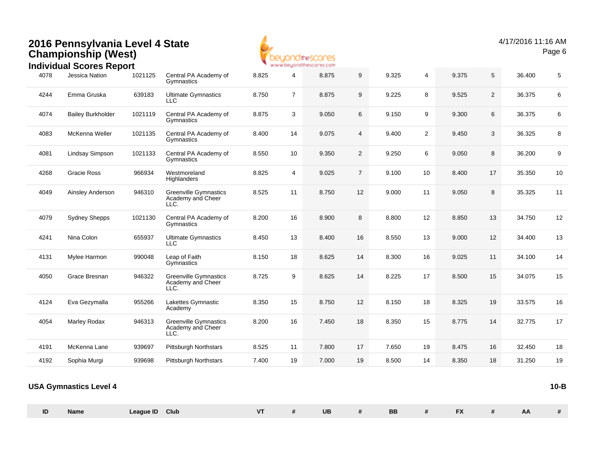

|      | <b>Individual Scores Report</b> |         |                                                           |       |                | <b>MAIN AN ORD POLITICAL BEST OF A STORIE</b> |                |       |                |       |                |        |      |
|------|---------------------------------|---------|-----------------------------------------------------------|-------|----------------|-----------------------------------------------|----------------|-------|----------------|-------|----------------|--------|------|
| 4078 | Jessica Nation                  | 1021125 | Central PA Academy of<br>Gymnastics                       | 8.825 | 4              | 8.875                                         | 9              | 9.325 | $\overline{4}$ | 9.375 | 5              | 36.400 | 5    |
| 4244 | Emma Gruska                     | 639183  | <b>Ultimate Gymnastics</b><br>LLC                         | 8.750 | $\overline{7}$ | 8.875                                         | 9              | 9.225 | 8              | 9.525 | $\overline{2}$ | 36.375 | 6    |
| 4074 | <b>Bailey Burkholder</b>        | 1021119 | Central PA Academy of<br>Gymnastics                       | 8.875 | 3              | 9.050                                         | 6              | 9.150 | 9              | 9.300 | 6              | 36.375 | 6    |
| 4083 | McKenna Weller                  | 1021135 | Central PA Academy of<br>Gymnastics                       | 8.400 | 14             | 9.075                                         | 4              | 9.400 | 2              | 9.450 | 3              | 36.325 | 8    |
| 4081 | Lindsay Simpson                 | 1021133 | Central PA Academy of<br>Gymnastics                       | 8.550 | 10             | 9.350                                         | $\overline{c}$ | 9.250 | 6              | 9.050 | 8              | 36.200 | 9    |
| 4268 | Gracie Ross                     | 966934  | Westmoreland<br>Highlanders                               | 8.825 | 4              | 9.025                                         | $\overline{7}$ | 9.100 | 10             | 8.400 | 17             | 35.350 | $10$ |
| 4049 | Ainsley Anderson                | 946310  | <b>Greenville Gymnastics</b><br>Academy and Cheer<br>LLC. | 8.525 | 11             | 8.750                                         | 12             | 9.000 | 11             | 9.050 | 8              | 35.325 | 11   |
| 4079 | <b>Sydney Shepps</b>            | 1021130 | Central PA Academy of<br>Gymnastics                       | 8.200 | 16             | 8.900                                         | 8              | 8.800 | 12             | 8.850 | 13             | 34.750 | 12   |
| 4241 | Nina Colon                      | 655937  | <b>Ultimate Gymnastics</b><br><b>LLC</b>                  | 8.450 | 13             | 8.400                                         | 16             | 8.550 | 13             | 9.000 | 12             | 34.400 | 13   |
| 4131 | Mylee Harmon                    | 990048  | Leap of Faith<br>Gymnastics                               | 8.150 | 18             | 8.625                                         | 14             | 8.300 | 16             | 9.025 | 11             | 34.100 | 14   |
| 4050 | Grace Bresnan                   | 946322  | <b>Greenville Gymnastics</b><br>Academy and Cheer<br>LLC. | 8.725 | 9              | 8.625                                         | 14             | 8.225 | 17             | 8.500 | 15             | 34.075 | 15   |
| 4124 | Eva Gezymalla                   | 955266  | Lakettes Gymnastic<br>Academy                             | 8.350 | 15             | 8.750                                         | 12             | 8.150 | 18             | 8.325 | 19             | 33.575 | 16   |
| 4054 | Marley Rodax                    | 946313  | <b>Greenville Gymnastics</b><br>Academy and Cheer<br>LLC. | 8.200 | 16             | 7.450                                         | 18             | 8.350 | 15             | 8.775 | 14             | 32.775 | 17   |
| 4191 | McKenna Lane                    | 939697  | <b>Pittsburgh Northstars</b>                              | 8.525 | 11             | 7.800                                         | 17             | 7.650 | 19             | 8.475 | 16             | 32.450 | 18   |
| 4192 | Sophia Murgi                    | 939698  | <b>Pittsburgh Northstars</b>                              | 7.400 | 19             | 7.000                                         | 19             | 8.500 | 14             | 8.350 | 18             | 31.250 | 19   |
|      |                                 |         |                                                           |       |                |                                               |                |       |                |       |                |        |      |

| <b>USA Gymnastics Level 4</b> | 10-B |
|-------------------------------|------|
|                               |      |

| ID | Name | Club<br>League ID | V   | UE | <b>BB</b> | $-1$<br>. .  |           |  |
|----|------|-------------------|-----|----|-----------|--------------|-----------|--|
|    |      |                   | . . |    |           | $\mathbf{r}$ | <b>AA</b> |  |
|    |      |                   |     |    |           |              |           |  |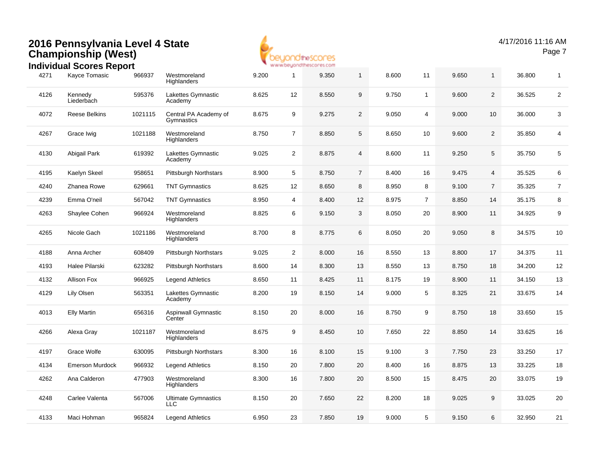

#### 4271 Kayce Tomasic <sup>966937</sup> Westmoreland **Highlanders** 9.200 <sup>1</sup> 9.350 <sup>1</sup> 8.600 <sup>11</sup> 9.650 <sup>1</sup> 36.800 <sup>1</sup> 4126 Kennedy Liederbach 595376 Lakettes Gymnastic Academy8.625 <sup>12</sup> 8.550 <sup>9</sup> 9.750 <sup>1</sup> 9.600 <sup>2</sup> 36.525 <sup>2</sup> 4072 Reese Belkins <sup>1021115</sup> Central PA Academy of **Gymnastics** 8.675 <sup>9</sup> 9.275 <sup>2</sup> 9.050 <sup>4</sup> 9.000 <sup>10</sup> 36.000 <sup>3</sup> 4267Grace Iwig **1021188** Westmoreland **Highlanders** 8.750 <sup>7</sup> 8.850 <sup>5</sup> 8.650 <sup>10</sup> 9.600 <sup>2</sup> 35.850 <sup>4</sup> 4130 Abigail Park <sup>619392</sup> Lakettes Gymnastic Academy9.025 <sup>2</sup> 8.875 <sup>4</sup> 8.600 <sup>11</sup> 9.250 <sup>5</sup> 35.750 <sup>5</sup> 4195 Kaelyn Skeel <sup>958651</sup> Pittsburgh Northstars 8.900 <sup>5</sup> 8.750 <sup>7</sup> 8.400 <sup>16</sup> 9.475 <sup>4</sup> 35.525 <sup>6</sup> 42400 Zhanea Rowe 629661 TNT Gymnastics 8.625 12 8.650 8 8.950 8 9.100 7 35.325 7 4239 Emma O'neil <sup>567042</sup> TNT Gymnastics 8.950 <sup>4</sup> 8.400 <sup>12</sup> 8.975 <sup>7</sup> 8.850 <sup>14</sup> 35.175 <sup>8</sup> 4263 Shaylee Cohen <sup>966924</sup> Westmoreland **Highlanders** 8.825 <sup>6</sup> 9.150 <sup>3</sup> 8.050 <sup>20</sup> 8.900 <sup>11</sup> 34.925 <sup>9</sup> 4265Nicole Gach 1021186 Westmoreland **Highlanders** 8.700 <sup>8</sup> 8.775 <sup>6</sup> 8.050 <sup>20</sup> 9.050 <sup>8</sup> 34.575 <sup>10</sup> 4188 Anna Archer <sup>608409</sup> Pittsburgh Northstars 9.025 <sup>2</sup> 8.000 <sup>16</sup> 8.550 <sup>13</sup> 8.800 <sup>17</sup> 34.375 <sup>11</sup> 4193 Halee Pilarski <sup>623282</sup> Pittsburgh Northstars 8.600 <sup>14</sup> 8.300 <sup>13</sup> 8.550 <sup>13</sup> 8.750 <sup>18</sup> 34.200 <sup>12</sup> 4132 Allison Fox <sup>966925</sup> Legend Athletics 8.650 <sup>11</sup> 8.425 <sup>11</sup> 8.175 <sup>19</sup> 8.900 <sup>11</sup> 34.150 <sup>13</sup> 4129 Lily Olsen <sup>563351</sup> Lakettes Gymnastic Academy8.200 <sup>19</sup> 8.150 <sup>14</sup> 9.000 <sup>5</sup> 8.325 <sup>21</sup> 33.675 <sup>14</sup> 4013 Elly Martin <sup>656316</sup> Aspinwall Gymnastic **Center** 8.150 <sup>20</sup> 8.000 <sup>16</sup> 8.750 <sup>9</sup> 8.750 <sup>18</sup> 33.650 <sup>15</sup> 4266 Alexa Gray <sup>1021187</sup> Westmoreland **Highlanders** 8.675 <sup>9</sup> 8.450 <sup>10</sup> 7.650 <sup>22</sup> 8.850 <sup>14</sup> 33.625 <sup>16</sup> 4197 Grace Wolfe <sup>630095</sup> Pittsburgh Northstars 8.300 <sup>16</sup> 8.100 <sup>15</sup> 9.100 <sup>3</sup> 7.750 <sup>23</sup> 33.250 <sup>17</sup> 4134 Emerson Murdock <sup>966932</sup> Legend Athletics 8.150 <sup>20</sup> 7.800 <sup>20</sup> 8.400 <sup>16</sup> 8.875 <sup>13</sup> 33.225 <sup>18</sup> 4262 Ana Calderon <sup>477903</sup> Westmoreland **Highlanders** 8.300 <sup>16</sup> 7.800 <sup>20</sup> 8.500 <sup>15</sup> 8.475 <sup>20</sup> 33.075 <sup>19</sup> 4248 Carlee Valenta <sup>567006</sup> Ultimate Gymnastics LLC8.150 <sup>20</sup> 7.650 <sup>22</sup> 8.200 <sup>18</sup> 9.025 <sup>9</sup> 33.025 <sup>20</sup> 4133 Maci Hohman <sup>965824</sup> Legend Athletics 6.950 <sup>23</sup> 7.850 <sup>19</sup> 9.000 <sup>5</sup> 9.150 <sup>6</sup> 32.950 <sup>21</sup> **Individual Scores Report**966937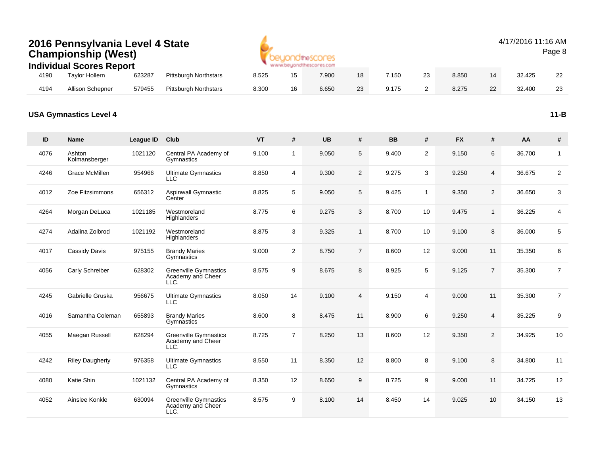|      | 2016 Pennsylvania Level 4 State<br><b>Championship (West)</b><br><b>Individual Scores Report</b> |        |                              |       |    | www.beyondthescores.com |    |       |    |       |    | 4/17/2016 11:16 AM | Page 8 |
|------|--------------------------------------------------------------------------------------------------|--------|------------------------------|-------|----|-------------------------|----|-------|----|-------|----|--------------------|--------|
| 4190 | <b>Taylor Hollern</b>                                                                            | 623287 | <b>Pittsburgh Northstars</b> | 8.525 | 15 | 7.900                   | 18 | 7.150 | 23 | 8.850 | 14 | 32.425             | 22     |
| 4194 | <b>Allison Schepner</b>                                                                          | 579455 | <b>Pittsburgh Northstars</b> | 8.300 | 16 | 6.650                   | 23 | 9.175 |    | 8.275 | 22 | 32.400             | 23     |

#### **USA Gymnastics Level 4**

| ID   | <b>Name</b>             | League ID | Club                                                      | <b>VT</b> | #              | <b>UB</b> | #               | <b>BB</b> | #              | <b>FX</b> | #              | AA     | $\pmb{\#}$     |
|------|-------------------------|-----------|-----------------------------------------------------------|-----------|----------------|-----------|-----------------|-----------|----------------|-----------|----------------|--------|----------------|
| 4076 | Ashton<br>Kolmansberger | 1021120   | Central PA Academy of<br>Gymnastics                       | 9.100     | $\mathbf{1}$   | 9.050     | 5               | 9.400     | $\overline{2}$ | 9.150     | $\,6\,$        | 36.700 | $\mathbf{1}$   |
| 4246 | Grace McMillen          | 954966    | <b>Ultimate Gymnastics</b><br><b>LLC</b>                  | 8.850     | $\overline{4}$ | 9.300     | $\overline{2}$  | 9.275     | 3              | 9.250     | $\overline{4}$ | 36.675 | 2              |
| 4012 | Zoe Fitzsimmons         | 656312    | <b>Aspinwall Gymnastic</b><br>Center                      | 8.825     | 5              | 9.050     | $5\overline{)}$ | 9.425     | $\mathbf{1}$   | 9.350     | 2              | 36.650 | 3              |
| 4264 | Morgan DeLuca           | 1021185   | Westmoreland<br>Highlanders                               | 8.775     | 6              | 9.275     | 3               | 8.700     | 10             | 9.475     | $\mathbf{1}$   | 36.225 | $\overline{4}$ |
| 4274 | Adalina Zolbrod         | 1021192   | Westmoreland<br>Highlanders                               | 8.875     | 3              | 9.325     | $\mathbf{1}$    | 8.700     | 10             | 9.100     | 8              | 36.000 | $\overline{5}$ |
| 4017 | Cassidy Davis           | 975155    | <b>Brandy Maries</b><br>Gymnastics                        | 9.000     | $\overline{2}$ | 8.750     | $\overline{7}$  | 8.600     | 12             | 9.000     | 11             | 35.350 | 6              |
| 4056 | Carly Schreiber         | 628302    | <b>Greenville Gymnastics</b><br>Academy and Cheer<br>LLC. | 8.575     | 9              | 8.675     | 8               | 8.925     | 5              | 9.125     | $\overline{7}$ | 35.300 | $\overline{7}$ |
| 4245 | Gabrielle Gruska        | 956675    | <b>Ultimate Gymnastics</b><br><b>LLC</b>                  | 8.050     | 14             | 9.100     | $\overline{4}$  | 9.150     | 4              | 9.000     | 11             | 35.300 | $\overline{7}$ |
| 4016 | Samantha Coleman        | 655893    | <b>Brandy Maries</b><br>Gymnastics                        | 8.600     | 8              | 8.475     | 11              | 8.900     | 6              | 9.250     | $\overline{4}$ | 35.225 | 9              |
| 4055 | Maegan Russell          | 628294    | Greenville Gymnastics<br>Academy and Cheer<br>LLC.        | 8.725     | $\overline{7}$ | 8.250     | 13              | 8.600     | 12             | 9.350     | 2              | 34.925 | 10             |
| 4242 | <b>Riley Daugherty</b>  | 976358    | <b>Ultimate Gymnastics</b><br><b>LLC</b>                  | 8.550     | 11             | 8.350     | 12              | 8.800     | 8              | 9.100     | 8              | 34.800 | 11             |
| 4080 | Katie Shin              | 1021132   | Central PA Academy of<br>Gymnastics                       | 8.350     | 12             | 8.650     | 9               | 8.725     | 9              | 9.000     | 11             | 34.725 | 12             |
| 4052 | Ainslee Konkle          | 630094    | <b>Greenville Gymnastics</b><br>Academy and Cheer<br>LLC. | 8.575     | 9              | 8.100     | 14              | 8.450     | 14             | 9.025     | 10             | 34.150 | 13             |

**11-B**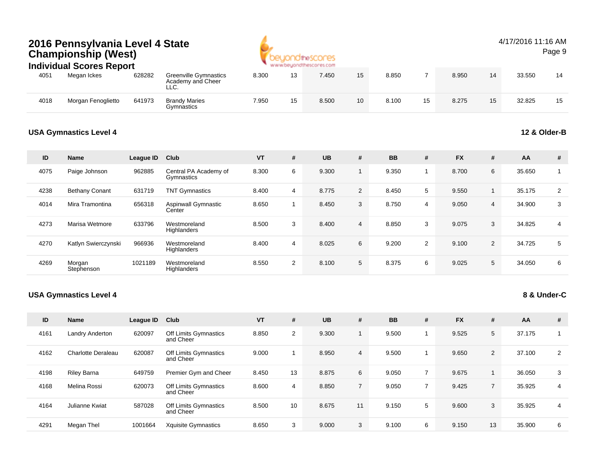

#### 4/17/2016 11:16 AMPage 9

#### 4051 Megan Ickes <sup>628282</sup> Greenville Gymnastics Academy and Cheer LLC.8.300 <sup>13</sup> 7.450 <sup>15</sup> 8.850 <sup>7</sup> 8.950 <sup>14</sup> 33.550 <sup>14</sup> 4018Morgan Fenoglietto 641973 Brandy Maries<br>Gymnastics 7.950 <sup>15</sup> 8.500 <sup>10</sup> 8.100 <sup>15</sup> 8.275 <sup>15</sup> 32.825 <sup>15</sup> **Individual Scores Report**628282

#### **USA Gymnastics Level 4**

#### **12 & Older-B**

| ID   | <b>Name</b>           | League ID | Club                                 | <b>VT</b> | # | <b>UB</b> | #              | <b>BB</b> | #              | <b>FX</b> | # | AA     | #              |
|------|-----------------------|-----------|--------------------------------------|-----------|---|-----------|----------------|-----------|----------------|-----------|---|--------|----------------|
| 4075 | Paige Johnson         | 962885    | Central PA Academy of<br>Gymnastics  | 8.300     | 6 | 9.300     |                | 9.350     |                | 8.700     | 6 | 35.650 |                |
| 4238 | <b>Bethany Conant</b> | 631719    | <b>TNT Gymnastics</b>                | 8.400     | 4 | 8.775     | $\overline{2}$ | 8.450     | 5              | 9.550     |   | 35.175 | 2              |
| 4014 | Mira Tramontina       | 656318    | <b>Aspinwall Gymnastic</b><br>Center | 8.650     |   | 8.450     | 3              | 8.750     | $\overline{4}$ | 9.050     | 4 | 34.900 | 3              |
| 4273 | Marisa Wetmore        | 633796    | Westmoreland<br>Highlanders          | 8.500     | 3 | 8.400     | $\overline{4}$ | 8.850     | 3              | 9.075     | 3 | 34.825 | $\overline{4}$ |
| 4270 | Katlyn Swierczynski   | 966936    | Westmoreland<br>Highlanders          | 8.400     | 4 | 8.025     | 6              | 9.200     | 2              | 9.100     | 2 | 34.725 | 5              |
| 4269 | Morgan<br>Stephenson  | 1021189   | Westmoreland<br>Highlanders          | 8.550     | 2 | 8.100     | 5              | 8.375     | 6              | 9.025     | 5 | 34.050 | 6              |

#### **USA Gymnastics Level 4**

### **8 & Under-C**

| ID   | <b>Name</b>               | League ID | Club                               | <b>VT</b> | #  | <b>UB</b> | #              | <b>BB</b> | # | <b>FX</b> | #              | AA     | #              |
|------|---------------------------|-----------|------------------------------------|-----------|----|-----------|----------------|-----------|---|-----------|----------------|--------|----------------|
| 4161 | Landry Anderton           | 620097    | Off Limits Gymnastics<br>and Cheer | 8.850     | 2  | 9.300     |                | 9.500     |   | 9.525     | 5              | 37.175 |                |
| 4162 | <b>Charlotte Deraleau</b> | 620087    | Off Limits Gymnastics<br>and Cheer | 9.000     |    | 8.950     | $\overline{4}$ | 9.500     |   | 9.650     | $\overline{2}$ | 37.100 | $\overline{2}$ |
| 4198 | <b>Riley Barna</b>        | 649759    | Premier Gym and Cheer              | 8.450     | 13 | 8.875     | 6              | 9.050     | 7 | 9.675     |                | 36.050 | 3              |
| 4168 | Melina Rossi              | 620073    | Off Limits Gymnastics<br>and Cheer | 8.600     | 4  | 8.850     | $\overline{7}$ | 9.050     | 7 | 9.425     |                | 35.925 | 4              |
| 4164 | Julianne Kwiat            | 587028    | Off Limits Gymnastics<br>and Cheer | 8.500     | 10 | 8.675     | 11             | 9.150     | 5 | 9.600     | 3              | 35.925 | 4              |
| 4291 | Megan Thel                | 1001664   | <b>Xquisite Gymnastics</b>         | 8.650     | 3  | 9.000     | 3              | 9.100     | 6 | 9.150     | 13             | 35.900 | 6              |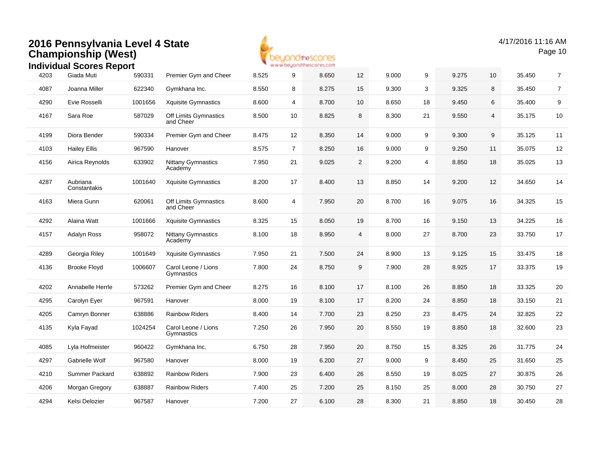

4/17/2016 11:16 AMPage 10

|      | סקטרו טטוט               |         |                                      |       |                |       |        |       |                |       |    |        |                |
|------|--------------------------|---------|--------------------------------------|-------|----------------|-------|--------|-------|----------------|-------|----|--------|----------------|
| 4203 | Giada Muti               | 590331  | Premier Gym and Cheer                | 8.525 | 9              | 8.650 | 12     | 9.000 | 9              | 9.275 | 10 | 35.450 | $\overline{7}$ |
| 4087 | Joanna Miller            | 622340  | Gymkhana Inc.                        | 8.550 | 8              | 8.275 | 15     | 9.300 | 3              | 9.325 | 8  | 35.450 | $\overline{7}$ |
| 4290 | Evie Rosselli            | 1001656 | Xquisite Gymnastics                  | 8.600 | 4              | 8.700 | $10\,$ | 8.650 | 18             | 9.450 | 6  | 35.400 | 9              |
| 4167 | Sara Roe                 | 587029  | Off Limits Gymnastics<br>and Cheer   | 8.500 | 10             | 8.825 | 8      | 8.300 | 21             | 9.550 | 4  | 35.175 | 10             |
| 4199 | Diora Bender             | 590334  | Premier Gym and Cheer                | 8.475 | 12             | 8.350 | 14     | 9.000 | 9              | 9.300 | 9  | 35.125 | 11             |
| 4103 | <b>Hailey Ellis</b>      | 967590  | Hanover                              | 8.575 | $\overline{7}$ | 8.250 | 16     | 9.000 | 9              | 9.250 | 11 | 35.075 | 12             |
| 4156 | Airica Reynolds          | 633902  | <b>Nittany Gymnastics</b><br>Academy | 7.950 | 21             | 9.025 | 2      | 9.200 | $\overline{4}$ | 8.850 | 18 | 35.025 | 13             |
| 4287 | Aubriana<br>Constantakis | 1001640 | <b>Xquisite Gymnastics</b>           | 8.200 | 17             | 8.400 | 13     | 8.850 | 14             | 9.200 | 12 | 34.650 | 14             |
| 4163 | Miera Gunn               | 620061  | Off Limits Gymnastics<br>and Cheer   | 8.600 | 4              | 7.950 | 20     | 8.700 | 16             | 9.075 | 16 | 34.325 | 15             |
| 4292 | Alaina Watt              | 1001666 | Xquisite Gymnastics                  | 8.325 | 15             | 8.050 | 19     | 8.700 | 16             | 9.150 | 13 | 34.225 | $16\,$         |
| 4157 | <b>Adalyn Ross</b>       | 958072  | <b>Nittany Gymnastics</b><br>Academy | 8.100 | 18             | 8.950 | 4      | 8.000 | 27             | 8.700 | 23 | 33.750 | 17             |
| 4289 | Georgia Riley            | 1001649 | <b>Xquisite Gymnastics</b>           | 7.950 | 21             | 7.500 | 24     | 8.900 | 13             | 9.125 | 15 | 33.475 | 18             |
| 4136 | <b>Brooke Floyd</b>      | 1006607 | Carol Leone / Lions<br>Gymnastics    | 7.800 | 24             | 8.750 | 9      | 7.900 | 28             | 8.925 | 17 | 33.375 | 19             |
| 4202 | Annabelle Herrle         | 573262  | Premier Gym and Cheer                | 8.275 | 16             | 8.100 | 17     | 8.100 | 26             | 8.850 | 18 | 33.325 | 20             |
| 4295 | Carolyn Eyer             | 967591  | Hanover                              | 8.000 | 19             | 8.100 | 17     | 8.200 | 24             | 8.850 | 18 | 33.150 | 21             |
| 4205 | Camryn Bonner            | 638886  | <b>Rainbow Riders</b>                | 8.400 | 14             | 7.700 | 23     | 8.250 | 23             | 8.475 | 24 | 32.825 | 22             |
| 4135 | Kyla Fayad               | 1024254 | Carol Leone / Lions<br>Gymnastics    | 7.250 | 26             | 7.950 | 20     | 8.550 | 19             | 8.850 | 18 | 32.600 | 23             |
| 4085 | Lyla Hofmeister          | 960422  | Gymkhana Inc.                        | 6.750 | 28             | 7.950 | 20     | 8.750 | 15             | 8.325 | 26 | 31.775 | 24             |
| 4297 | Gabrielle Wolf           | 967580  | Hanover                              | 8.000 | 19             | 6.200 | 27     | 9.000 | 9              | 8.450 | 25 | 31.650 | 25             |
| 4210 | Summer Packard           | 638892  | <b>Rainbow Riders</b>                | 7.900 | 23             | 6.400 | 26     | 8.550 | 19             | 8.025 | 27 | 30.875 | 26             |
| 4206 | Morgan Gregory           | 638887  | <b>Rainbow Riders</b>                | 7.400 | 25             | 7.200 | 25     | 8.150 | 25             | 8.000 | 28 | 30.750 | 27             |
| 4294 | Kelsi Delozier           | 967587  | Hanover                              | 7.200 | 27             | 6.100 | 28     | 8.300 | 21             | 8.850 | 18 | 30.450 | 28             |
|      |                          |         |                                      |       |                |       |        |       |                |       |    |        |                |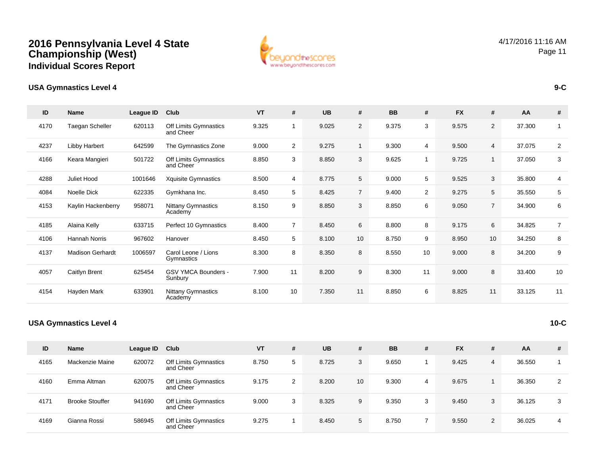

| $\mathsf{ID}$ | <b>Name</b>                   | League ID | Club                                  | VT    | #              | <b>UB</b> | #               | <b>BB</b> | #              | <b>FX</b> | #              | AA     | #              |
|---------------|-------------------------------|-----------|---------------------------------------|-------|----------------|-----------|-----------------|-----------|----------------|-----------|----------------|--------|----------------|
| 4170          | Taegan Scheller               | 620113    | Off Limits Gymnastics<br>and Cheer    | 9.325 | -1             | 9.025     | $\overline{2}$  | 9.375     | 3              | 9.575     | $\overline{2}$ | 37.300 | $\mathbf{1}$   |
| 4237          | Libby Harbert                 | 642599    | The Gymnastics Zone                   | 9.000 | $\overline{2}$ | 9.275     | $\mathbf{1}$    | 9.300     | 4              | 9.500     | $\overline{4}$ | 37.075 | $\overline{2}$ |
| 4166          | Keara Mangieri                | 501722    | Off Limits Gymnastics<br>and Cheer    | 8.850 | 3              | 8.850     | 3               | 9.625     | $\mathbf{1}$   | 9.725     | $\mathbf{1}$   | 37.050 | 3              |
| 4288          | Juliet Hood                   | 1001646   | <b>Xquisite Gymnastics</b>            | 8.500 | 4              | 8.775     | 5               | 9.000     | 5              | 9.525     | 3              | 35.800 | 4              |
| 4084          | Noelle Dick                   | 622335    | Gymkhana Inc.                         | 8.450 | 5              | 8.425     | $7^{\circ}$     | 9.400     | $\overline{2}$ | 9.275     | 5              | 35.550 | 5              |
| 4153          | Kaylin Hackenberry            | 958071    | <b>Nittany Gymnastics</b><br>Academy  | 8.150 | 9              | 8.850     | 3               | 8.850     | 6              | 9.050     | $\overline{7}$ | 34.900 | 6              |
| 4185          | Alaina Kelly                  | 633715    | Perfect 10 Gymnastics                 | 8.400 | $\overline{7}$ | 8.450     | 6               | 8.800     | 8              | 9.175     | 6              | 34.825 | $\overline{7}$ |
| 4106          | <b>Hannah Norris</b>          | 967602    | Hanover                               | 8.450 | 5              | 8.100     | 10 <sup>1</sup> | 8.750     | 9              | 8.950     | 10             | 34.250 | 8              |
| 4137          | <b>Madison Gerhardt</b>       | 1006597   | Carol Leone / Lions<br>Gymnastics     | 8.300 | 8              | 8.350     | 8               | 8.550     | 10             | 9.000     | 8              | 34.200 | 9              |
| 4057          | Caitlyn Brent                 | 625454    | <b>GSV YMCA Bounders -</b><br>Sunbury | 7.900 | 11             | 8.200     | 9               | 8.300     | 11             | 9.000     | 8              | 33.400 | 10             |
| 4154          | Hayden Mark                   | 633901    | Nittany Gymnastics<br>Academy         | 8.100 | 10             | 7.350     | 11              | 8.850     | 6              | 8.825     | 11             | 33.125 | 11             |
|               | <b>USA Gymnastics Level 4</b> |           |                                       |       |                |           |                 |           |                |           |                |        | $10-C$         |

| ID   | Name                   | League ID | Club                               | <b>VT</b> | # | <b>UB</b> | #               | <b>BB</b> | # | <b>FX</b> | # | AA     | # |
|------|------------------------|-----------|------------------------------------|-----------|---|-----------|-----------------|-----------|---|-----------|---|--------|---|
| 4165 | Mackenzie Maine        | 620072    | Off Limits Gymnastics<br>and Cheer | 8.750     | 5 | 8.725     | 3               | 9.650     |   | 9.425     | 4 | 36.550 |   |
| 4160 | Emma Altman            | 620075    | Off Limits Gymnastics<br>and Cheer | 9.175     | 2 | 8.200     | 10 <sup>1</sup> | 9.300     | 4 | 9.675     |   | 36.350 | 2 |
| 4171 | <b>Brooke Stouffer</b> | 941690    | Off Limits Gymnastics<br>and Cheer | 9.000     | 3 | 8.325     | 9               | 9.350     | 3 | 9.450     | 3 | 36.125 | 3 |
| 4169 | Gianna Rossi           | 586945    | Off Limits Gymnastics<br>and Cheer | 9.275     |   | 8.450     | 5               | 8.750     |   | 9.550     | 2 | 36.025 | 4 |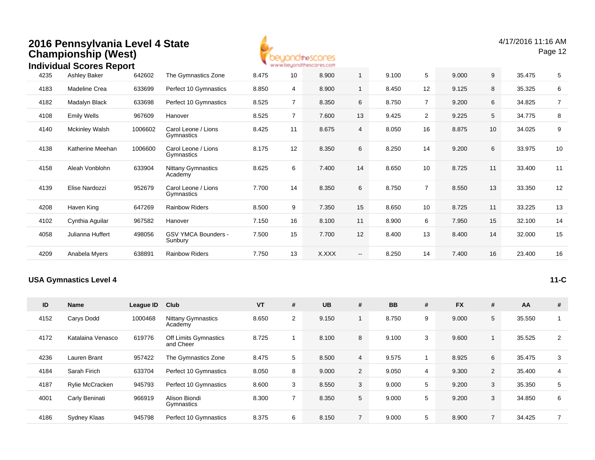| 2016 Pennsylvania Level 4 State |  |
|---------------------------------|--|
| <b>Championship (West)</b>      |  |



|      | <b>Individual Scores Report</b> |         |                                      |       |                | www.beyondthescores.com |                          |       |                |       |    |        |                |
|------|---------------------------------|---------|--------------------------------------|-------|----------------|-------------------------|--------------------------|-------|----------------|-------|----|--------|----------------|
| 4235 | Ashley Baker                    | 642602  | The Gymnastics Zone                  | 8.475 | 10             | 8.900                   | 1                        | 9.100 | 5              | 9.000 | 9  | 35.475 | 5              |
| 4183 | Madeline Crea                   | 633699  | Perfect 10 Gymnastics                | 8.850 | 4              | 8.900                   | 1                        | 8.450 | 12             | 9.125 | 8  | 35.325 | 6              |
| 4182 | Madalyn Black                   | 633698  | Perfect 10 Gymnastics                | 8.525 | $\overline{7}$ | 8.350                   | 6                        | 8.750 | $\overline{7}$ | 9.200 | 6  | 34.825 | $\overline{7}$ |
| 4108 | <b>Emily Wells</b>              | 967609  | Hanover                              | 8.525 | $\overline{7}$ | 7.600                   | 13                       | 9.425 | $\overline{2}$ | 9.225 | 5  | 34.775 | 8              |
| 4140 | <b>Mckinley Walsh</b>           | 1006602 | Carol Leone / Lions<br>Gymnastics    | 8.425 | 11             | 8.675                   | 4                        | 8.050 | 16             | 8.875 | 10 | 34.025 | 9              |
| 4138 | Katherine Meehan                | 1006600 | Carol Leone / Lions<br>Gymnastics    | 8.175 | 12             | 8.350                   | 6                        | 8.250 | 14             | 9.200 | 6  | 33.975 | 10             |
| 4158 | Aleah Vonblohn                  | 633904  | <b>Nittany Gymnastics</b><br>Academy | 8.625 | 6              | 7.400                   | 14                       | 8.650 | 10             | 8.725 | 11 | 33.400 | 11             |
| 4139 | Elise Nardozzi                  | 952679  | Carol Leone / Lions<br>Gymnastics    | 7.700 | 14             | 8.350                   | 6                        | 8.750 | $\overline{7}$ | 8.550 | 13 | 33.350 | 12             |
| 4208 | Haven King                      | 647269  | <b>Rainbow Riders</b>                | 8.500 | 9              | 7.350                   | 15                       | 8.650 | 10             | 8.725 | 11 | 33.225 | 13             |
| 4102 | Cynthia Aguilar                 | 967582  | Hanover                              | 7.150 | 16             | 8.100                   | 11                       | 8.900 | 6              | 7.950 | 15 | 32.100 | 14             |
| 4058 | Julianna Huffert                | 498056  | GSV YMCA Bounders -<br>Sunbury       | 7.500 | 15             | 7.700                   | 12                       | 8.400 | 13             | 8.400 | 14 | 32.000 | 15             |
| 4209 | Anabela Myers                   | 638891  | <b>Rainbow Riders</b>                | 7.750 | 13             | X.XXX                   | $\overline{\phantom{a}}$ | 8.250 | 14             | 7.400 | 16 | 23.400 | 16             |
|      |                                 |         |                                      |       |                |                         |                          |       |                |       |    |        |                |

#### **USA Gymnastics Level 4**

**11-C**

| ID   | <b>Name</b>       | League ID | Club                                 | <b>VT</b> | #              | <b>UB</b> | #              | <b>BB</b> | # | <b>FX</b> | #              | AA     | #              |
|------|-------------------|-----------|--------------------------------------|-----------|----------------|-----------|----------------|-----------|---|-----------|----------------|--------|----------------|
| 4152 | Carys Dodd        | 1000468   | <b>Nittany Gymnastics</b><br>Academy | 8.650     | $\overline{2}$ | 9.150     |                | 8.750     | 9 | 9.000     | 5              | 35.550 |                |
| 4172 | Katalaina Venasco | 619776    | Off Limits Gymnastics<br>and Cheer   | 8.725     |                | 8.100     | 8              | 9.100     | 3 | 9.600     |                | 35.525 | 2              |
| 4236 | Lauren Brant      | 957422    | The Gymnastics Zone                  | 8.475     | 5              | 8.500     | $\overline{4}$ | 9.575     |   | 8.925     | 6              | 35.475 | 3              |
| 4184 | Sarah Firich      | 633704    | Perfect 10 Gymnastics                | 8.050     | 8              | 9.000     | $\overline{2}$ | 9.050     | 4 | 9.300     | 2              | 35.400 | $\overline{4}$ |
| 4187 | Rylie McCracken   | 945793    | Perfect 10 Gymnastics                | 8.600     | 3              | 8.550     | 3              | 9.000     | 5 | 9.200     | 3              | 35.350 | 5              |
| 4001 | Carly Beninati    | 966919    | Alison Biondi<br>Gymnastics          | 8.300     | $\overline{7}$ | 8.350     | 5              | 9.000     | 5 | 9.200     | 3              | 34.850 | 6              |
| 4186 | Sydney Klaas      | 945798    | Perfect 10 Gymnastics                | 8.375     | 6              | 8.150     | $\overline{7}$ | 9.000     | 5 | 8.900     | $\overline{7}$ | 34.425 |                |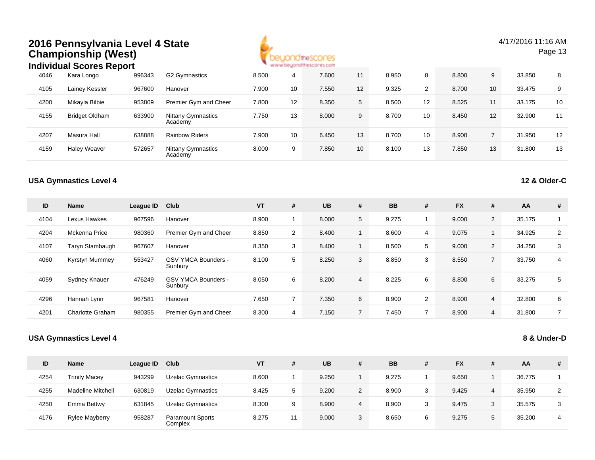|      | 2016 Pennsylvania Level 4 State<br><b>Championship (West)</b><br><b>Individual Scores Report</b> |           |                                       |       |                | beyondthescores<br>www.beyondthescores.com |                |           |                |           |                 | 4/17/2016 11:16 AM | Page 13        |
|------|--------------------------------------------------------------------------------------------------|-----------|---------------------------------------|-------|----------------|--------------------------------------------|----------------|-----------|----------------|-----------|-----------------|--------------------|----------------|
| 4046 | Kara Longo                                                                                       | 996343    | G2 Gymnastics                         | 8.500 | 4              | 7.600                                      | 11             | 8.950     | 8              | 8.800     | 9               | 33.850             | 8              |
| 4105 | Lainey Kessler                                                                                   | 967600    | Hanover                               | 7.900 | 10             | 7.550                                      | 12             | 9.325     | $\overline{2}$ | 8.700     | 10              | 33.475             | 9              |
| 4200 | Mikayla Bilbie                                                                                   | 953809    | Premier Gym and Cheer                 | 7.800 | 12             | 8.350                                      | 5              | 8.500     | 12             | 8.525     | 11              | 33.175             | 10             |
| 4155 | <b>Bridget Oldham</b>                                                                            | 633900    | <b>Nittany Gymnastics</b><br>Academy  | 7.750 | 13             | 8.000                                      | 9              | 8.700     | 10             | 8.450     | 12              | 32.900             | 11             |
| 4207 | Masura Hall                                                                                      | 638888    | <b>Rainbow Riders</b>                 | 7.900 | 10             | 6.450                                      | 13             | 8.700     | 10             | 8.900     | $7\overline{ }$ | 31.950             | 12             |
| 4159 | <b>Haley Weaver</b>                                                                              | 572657    | <b>Nittany Gymnastics</b><br>Academy  | 8.000 | 9              | 7.850                                      | 10             | 8.100     | 13             | 7.850     | 13              | 31.800             | 13             |
|      | <b>USA Gymnastics Level 4</b>                                                                    |           |                                       |       |                |                                            |                |           |                |           |                 | 12 & Older-C       |                |
| ID   | <b>Name</b>                                                                                      | League ID | Club                                  | VT    | #              | <b>UB</b>                                  | #              | <b>BB</b> | $\#$           | <b>FX</b> | $\pmb{\#}$      | AA                 | $\#$           |
| 4104 | Lexus Hawkes                                                                                     | 967596    | Hanover                               | 8.900 | $\mathbf{1}$   | 8.000                                      | 5              | 9.275     | $\mathbf{1}$   | 9.000     | $\overline{2}$  | 35.175             | $\mathbf{1}$   |
| 4204 | <b>Mckenna Price</b>                                                                             | 980360    | Premier Gym and Cheer                 | 8.850 | $\overline{2}$ | 8.400                                      | 1              | 8.600     | 4              | 9.075     | $\mathbf{1}$    | 34.925             | $\overline{2}$ |
| 4107 | Taryn Stambaugh                                                                                  | 967607    | Hanover                               | 8.350 | 3              | 8.400                                      | $\mathbf{1}$   | 8.500     | 5              | 9.000     | $\overline{2}$  | 34.250             | 3              |
| 4060 | <b>Kyrstyn Mummey</b>                                                                            | 553427    | <b>GSV YMCA Bounders -</b><br>Sunbury | 8.100 | 5              | 8.250                                      | 3              | 8.850     | 3              | 8.550     | $\overline{7}$  | 33.750             | 4              |
| 4059 | Sydney Knauer                                                                                    | 476249    | <b>GSV YMCA Bounders -</b><br>Sunbury | 8.050 | 6              | 8.200                                      | $\overline{4}$ | 8.225     | 6              | 8.800     | 6               | 33.275             | 5              |
| 4296 | Hannah Lynn                                                                                      | 967581    | Hanover                               | 7.650 | $\overline{7}$ | 7.350                                      | 6              | 8.900     | $\overline{2}$ | 8.900     | $\overline{4}$  | 32.800             | 6              |
| 4201 | Charlotte Graham                                                                                 | 980355    | Premier Gym and Cheer                 | 8.300 | 4              | 7.150                                      | $7^{\circ}$    | 7.450     | $\overline{7}$ | 8.900     | $\overline{4}$  | 31.800             | $\overline{7}$ |
|      | <b>USA Gymnastics Level 4</b>                                                                    |           |                                       |       |                |                                            |                |           |                |           |                 | 8 & Under-D        |                |

| ID   | <b>Name</b>              | League ID | Club                               | VT    |   | <b>UB</b> | # | <b>BB</b> | # | <b>FX</b> | #  | AA     | #  |
|------|--------------------------|-----------|------------------------------------|-------|---|-----------|---|-----------|---|-----------|----|--------|----|
| 4254 | <b>Trinity Macey</b>     | 943299    | <b>Uzelac Gymnastics</b>           | 8.600 |   | 9.250     |   | 9.275     |   | 9.650     |    | 36.775 |    |
| 4255 | <b>Madeline Mitchell</b> | 630819    | <b>Uzelac Gymnastics</b>           | 8.425 |   | 9.200     | 2 | 8.900     | 3 | 9.425     | 4  | 35.950 | C. |
| 4250 | Emma Bettwy              | 631845    | <b>Uzelac Gymnastics</b>           | 8.300 | 9 | 8.900     | 4 | 8.900     | 3 | 9.475     | 3  | 35.575 | 3  |
| 4176 | <b>Rylee Mayberry</b>    | 958287    | <b>Paramount Sports</b><br>Complex | 8.275 |   | 9.000     | 3 | 8.650     | 6 | 9.275     | .5 | 35.200 |    |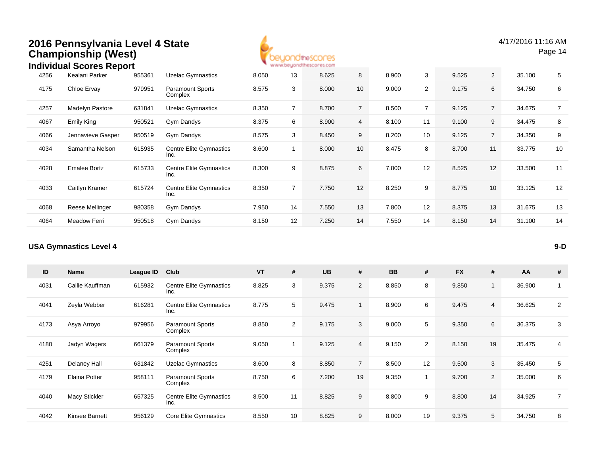

4/17/2016 11:16 AMPage 14

|      | <b>Individual Scores Report</b> |        |                                        |       |                | www.beyondthescores.com |                |       |                |       |                 |        |                |
|------|---------------------------------|--------|----------------------------------------|-------|----------------|-------------------------|----------------|-------|----------------|-------|-----------------|--------|----------------|
| 4256 | Kealani Parker                  | 955361 | <b>Uzelac Gymnastics</b>               | 8.050 | 13             | 8.625                   | 8              | 8.900 | 3              | 9.525 | $\overline{2}$  | 35.100 | 5              |
| 4175 | Chloe Ervay                     | 979951 | <b>Paramount Sports</b><br>Complex     | 8.575 | 3              | 8.000                   | 10             | 9.000 | $\overline{2}$ | 9.175 | 6               | 34.750 | 6              |
| 4257 | Madelyn Pastore                 | 631841 | <b>Uzelac Gymnastics</b>               | 8.350 | 7              | 8.700                   | $\overline{7}$ | 8.500 | $\overline{7}$ | 9.125 | $\overline{7}$  | 34.675 | $\overline{7}$ |
| 4067 | <b>Emily King</b>               | 950521 | Gym Dandys                             | 8.375 | 6              | 8.900                   | $\overline{4}$ | 8.100 | 11             | 9.100 | 9               | 34.475 | 8              |
| 4066 | Jennavieve Gasper               | 950519 | Gym Dandys                             | 8.575 | 3              | 8.450                   | 9              | 8.200 | 10             | 9.125 | $7^{\circ}$     | 34.350 | 9              |
| 4034 | Samantha Nelson                 | 615935 | <b>Centre Elite Gymnastics</b><br>Inc. | 8.600 |                | 8.000                   | 10             | 8.475 | 8              | 8.700 | 11              | 33.775 | 10             |
| 4028 | <b>Emalee Bortz</b>             | 615733 | Centre Elite Gymnastics<br>Inc.        | 8.300 | 9              | 8.875                   | 6              | 7.800 | 12             | 8.525 | 12              | 33.500 | 11             |
| 4033 | Caitlyn Kramer                  | 615724 | Centre Elite Gymnastics<br>Inc.        | 8.350 | $\overline{7}$ | 7.750                   | 12             | 8.250 | 9              | 8.775 | 10 <sup>°</sup> | 33.125 | 12             |
| 4068 | Reese Mellinger                 | 980358 | Gym Dandys                             | 7.950 | 14             | 7.550                   | 13             | 7.800 | 12             | 8.375 | 13              | 31.675 | 13             |
| 4064 | Meadow Ferri                    | 950518 | Gym Dandys                             | 8.150 | 12             | 7.250                   | 14             | 7.550 | 14             | 8.150 | 14              | 31.100 | 14             |
|      |                                 |        |                                        |       |                |                         |                |       |                |       |                 |        |                |

#### **USA Gymnastics Level 4**

| ID   | <b>Name</b>     | <b>League ID</b> | Club                                   | <b>VT</b> | #              | <b>UB</b> | #              | <b>BB</b> | #              | <b>FX</b> | #              | AA     | #              |
|------|-----------------|------------------|----------------------------------------|-----------|----------------|-----------|----------------|-----------|----------------|-----------|----------------|--------|----------------|
| 4031 | Callie Kauffman | 615932           | <b>Centre Elite Gymnastics</b><br>Inc. | 8.825     | 3              | 9.375     | $\overline{2}$ | 8.850     | 8              | 9.850     | $\overline{ }$ | 36.900 |                |
| 4041 | Zeyla Webber    | 616281           | <b>Centre Elite Gymnastics</b><br>Inc. | 8.775     | 5              | 9.475     |                | 8.900     | 6              | 9.475     | 4              | 36.625 | $\overline{2}$ |
| 4173 | Asya Arroyo     | 979956           | <b>Paramount Sports</b><br>Complex     | 8.850     | $\overline{2}$ | 9.175     | 3              | 9.000     | 5              | 9.350     | 6              | 36.375 | 3              |
| 4180 | Jadyn Wagers    | 661379           | <b>Paramount Sports</b><br>Complex     | 9.050     |                | 9.125     | $\overline{4}$ | 9.150     | $\overline{2}$ | 8.150     | 19             | 35.475 | 4              |
| 4251 | Delaney Hall    | 631842           | <b>Uzelac Gymnastics</b>               | 8.600     | 8              | 8.850     | $7^{\circ}$    | 8.500     | 12             | 9.500     | 3              | 35.450 | 5              |
| 4179 | Elaina Potter   | 958111           | <b>Paramount Sports</b><br>Complex     | 8.750     | 6              | 7.200     | 19             | 9.350     | 1              | 9.700     | 2              | 35.000 | 6              |
| 4040 | Macy Stickler   | 657325           | <b>Centre Elite Gymnastics</b><br>Inc. | 8.500     | 11             | 8.825     | 9              | 8.800     | 9              | 8.800     | 14             | 34.925 | $\overline{7}$ |
| 4042 | Kinsee Barnett  | 956129           | Core Elite Gymnastics                  | 8.550     | 10             | 8.825     | 9              | 8.000     | 19             | 9.375     | 5              | 34.750 | 8              |

**9-D**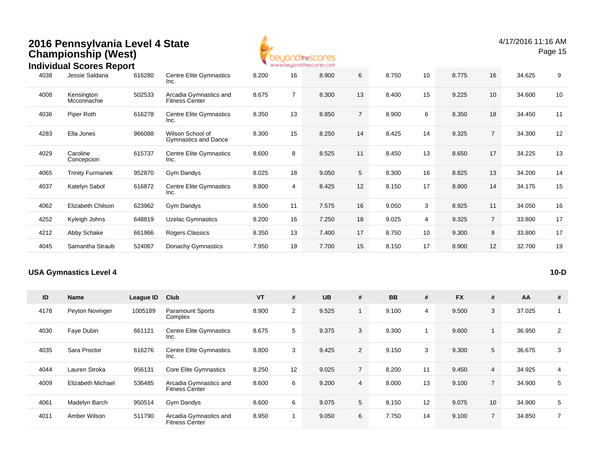

#### 4038 Jessie Saldana <sup>616280</sup> Centre Elite Gymnastics Inc.8.200 <sup>16</sup> 8.900 <sup>6</sup> 8.750 <sup>10</sup> 8.775 <sup>16</sup> 34.625 <sup>9</sup> 4008 Kensington **Mcconnachie** 502533 Arcadia Gymnastics and Fitness Center8.675 <sup>7</sup> 8.300 <sup>13</sup> 8.400 <sup>15</sup> 9.225 <sup>10</sup> 34.600 <sup>10</sup> 4036Piper Roth 616278 Centre Elite Gymnastics Inc.8.350 <sup>13</sup> 8.850 <sup>7</sup> 8.900 <sup>6</sup> 8.350 <sup>18</sup> 34.450 <sup>11</sup> 4283 Ella Jones <sup>966088</sup> Wilson School of Gymnastics and Dance8.300 <sup>15</sup> 8.250 <sup>14</sup> 8.425 <sup>14</sup> 9.325 <sup>7</sup> 34.300 <sup>12</sup> 4029 Caroline Concepcion615737 Centre Elite Gymnastics Inc.8.600 <sup>8</sup> 8.525 <sup>11</sup> 8.450 <sup>13</sup> 8.650 <sup>17</sup> 34.225 <sup>13</sup> 4065 Trinity Furmanek <sup>952870</sup> Gym Dandys 8.025 <sup>18</sup> 9.050 <sup>5</sup> 8.300 <sup>16</sup> 8.825 <sup>13</sup> 34.200 <sup>14</sup> 4037Katelyn Sabol 616872 Centre Elite Gymnastics Inc.8.800 <sup>4</sup> 8.425 <sup>12</sup> 8.150 <sup>17</sup> 8.800 <sup>14</sup> 34.175 <sup>15</sup> 4062 Elizabeth Chilson <sup>623962</sup> Gym Dandys 8.500 <sup>11</sup> 7.575 <sup>16</sup> 9.050 <sup>3</sup> 8.925 <sup>11</sup> 34.050 <sup>16</sup> 4252 Kyleigh Johns <sup>648819</sup> Uzelac Gymnastics 8.200 <sup>16</sup> 7.250 <sup>18</sup> 9.025 <sup>4</sup> 9.325 <sup>7</sup> 33.800 <sup>17</sup> 4212 Abby Schake <sup>661966</sup> Rogers Classics 8.350 <sup>13</sup> 7.400 <sup>17</sup> 8.750 <sup>10</sup> 9.300 <sup>9</sup> 33.800 <sup>17</sup> 4045 Samantha Straub <sup>524067</sup> Donachy Gymnastics 7.950 <sup>19</sup> 7.700 <sup>15</sup> 8.150 <sup>17</sup> 8.900 <sup>12</sup> 32.700 <sup>19</sup> **Individual Scores Report**616280

#### **USA Gymnastics Level 4**

**10-D**

| ID   | <b>Name</b>              | League ID | Club                                            | <b>VT</b> | #              | <b>UB</b> | #              | <b>BB</b> | #  | <b>FX</b> | #               | AA     | # |
|------|--------------------------|-----------|-------------------------------------------------|-----------|----------------|-----------|----------------|-----------|----|-----------|-----------------|--------|---|
| 4178 | Peyton Novinger          | 1005189   | <b>Paramount Sports</b><br>Complex              | 8.900     | $\overline{2}$ | 9.525     |                | 9.100     | 4  | 9.500     | 3               | 37.025 |   |
| 4030 | Faye Dubin               | 661121    | Centre Elite Gymnastics<br>Inc.                 | 8.675     | 5              | 9.375     | 3              | 9.300     |    | 9.600     |                 | 36.950 | 2 |
| 4035 | Sara Proctor             | 616276    | Centre Elite Gymnastics<br>Inc.                 | 8.800     | 3              | 9.425     | $\overline{2}$ | 9.150     | 3  | 9.300     | 5               | 36.675 | 3 |
| 4044 | Lauren Stroka            | 956131    | <b>Core Elite Gymnastics</b>                    | 8.250     | 12             | 9.025     | $\overline{7}$ | 8.200     | 11 | 9.450     | $\overline{4}$  | 34.925 | 4 |
| 4009 | <b>Elizabeth Michael</b> | 536485    | Arcadia Gymnastics and<br><b>Fitness Center</b> | 8.600     | 6              | 9.200     | $\overline{4}$ | 8.000     | 13 | 9.100     | $\overline{7}$  | 34.900 | 5 |
| 4061 | Madelyn Barch            | 950514    | Gym Dandys                                      | 8.600     | 6              | 9.075     | 5 <sup>5</sup> | 8.150     | 12 | 9.075     | 10 <sup>°</sup> | 34.900 | 5 |
| 4011 | Amber Wilson             | 511790    | Arcadia Gymnastics and<br><b>Fitness Center</b> | 8.950     |                | 9.050     | 6              | 7.750     | 14 | 9.100     | $\overline{7}$  | 34.850 | 7 |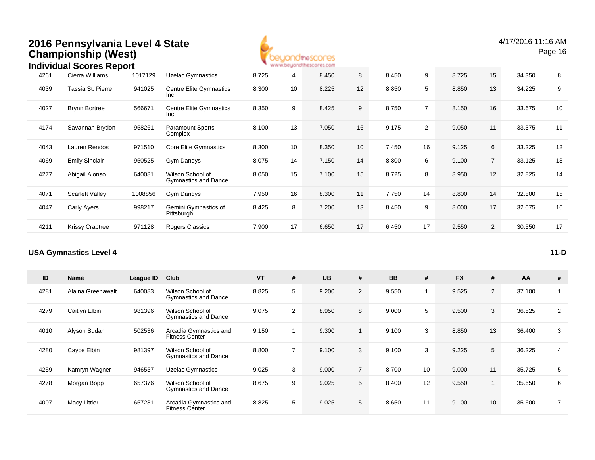

|      | ingividual Scores Report |         |                                          |       |    | ALALAY DIAMAN MARINDA WAS COLLE |                 |       |                |       |                |        |    |
|------|--------------------------|---------|------------------------------------------|-------|----|---------------------------------|-----------------|-------|----------------|-------|----------------|--------|----|
| 4261 | Cierra Williams          | 1017129 | <b>Uzelac Gymnastics</b>                 | 8.725 | 4  | 8.450                           | 8               | 8.450 | 9              | 8.725 | 15             | 34.350 | 8  |
| 4039 | Tassia St. Pierre        | 941025  | <b>Centre Elite Gymnastics</b><br>Inc.   | 8.300 | 10 | 8.225                           | 12              | 8.850 | 5              | 8.850 | 13             | 34.225 | 9  |
| 4027 | <b>Brynn Bortree</b>     | 566671  | Centre Elite Gymnastics<br>Inc.          | 8.350 | 9  | 8.425                           | 9               | 8.750 |                | 8.150 | 16             | 33.675 | 10 |
| 4174 | Savannah Brydon          | 958261  | <b>Paramount Sports</b><br>Complex       | 8.100 | 13 | 7.050                           | 16              | 9.175 | $\overline{2}$ | 9.050 | 11             | 33.375 | 11 |
| 4043 | Lauren Rendos            | 971510  | Core Elite Gymnastics                    | 8.300 | 10 | 8.350                           | 10 <sup>°</sup> | 7.450 | 16             | 9.125 | 6              | 33.225 | 12 |
| 4069 | <b>Emily Sinclair</b>    | 950525  | Gym Dandys                               | 8.075 | 14 | 7.150                           | 14              | 8.800 | 6              | 9.100 | $7^{\circ}$    | 33.125 | 13 |
| 4277 | Abigail Alonso           | 640081  | Wilson School of<br>Gymnastics and Dance | 8.050 | 15 | 7.100                           | 15              | 8.725 | 8              | 8.950 | 12             | 32.825 | 14 |
| 4071 | <b>Scarlett Valley</b>   | 1008856 | Gym Dandys                               | 7.950 | 16 | 8.300                           | 11              | 7.750 | 14             | 8.800 | 14             | 32.800 | 15 |
| 4047 | Carly Ayers              | 998217  | Gemini Gymnastics of<br>Pittsburgh       | 8.425 | 8  | 7.200                           | 13              | 8.450 | 9              | 8.000 | 17             | 32.075 | 16 |
| 4211 | <b>Krissy Crabtree</b>   | 971128  | Rogers Classics                          | 7.900 | 17 | 6.650                           | 17              | 6.450 | 17             | 9.550 | $\overline{2}$ | 30.550 | 17 |
|      |                          |         |                                          |       |    |                                 |                 |       |                |       |                |        |    |

#### **USA Gymnastics Level 4**

| ID   | <b>Name</b>       | League ID | Club                                            | <b>VT</b> | # | <b>UB</b> | #              | <b>BB</b> | #                       | <b>FX</b> | $\#$           | AA     | #              |
|------|-------------------|-----------|-------------------------------------------------|-----------|---|-----------|----------------|-----------|-------------------------|-----------|----------------|--------|----------------|
| 4281 | Alaina Greenawalt | 640083    | Wilson School of<br><b>Gymnastics and Dance</b> | 8.825     | 5 | 9.200     | $\overline{2}$ | 9.550     | $\overline{\mathbf{A}}$ | 9.525     | 2              | 37.100 |                |
| 4279 | Caitlyn Elbin     | 981396    | Wilson School of<br><b>Gymnastics and Dance</b> | 9.075     | 2 | 8.950     | 8              | 9.000     | 5                       | 9.500     | 3              | 36.525 | 2              |
| 4010 | Alyson Sudar      | 502536    | Arcadia Gymnastics and<br><b>Fitness Center</b> | 9.150     |   | 9.300     |                | 9.100     | 3                       | 8.850     | 13             | 36.400 | 3              |
| 4280 | Cayce Elbin       | 981397    | Wilson School of<br><b>Gymnastics and Dance</b> | 8.800     | 7 | 9.100     | 3              | 9.100     | 3                       | 9.225     | 5              | 36.225 | 4              |
| 4259 | Kamryn Wagner     | 946557    | <b>Uzelac Gymnastics</b>                        | 9.025     | 3 | 9.000     | $7^{\circ}$    | 8.700     | 10                      | 9.000     | 11             | 35.725 | 5              |
| 4278 | Morgan Bopp       | 657376    | Wilson School of<br><b>Gymnastics and Dance</b> | 8.675     | 9 | 9.025     | 5              | 8.400     | 12                      | 9.550     | $\overline{1}$ | 35.650 | 6              |
| 4007 | Macy Littler      | 657231    | Arcadia Gymnastics and<br>Fitness Center        | 8.825     | 5 | 9.025     | 5              | 8.650     | 11                      | 9.100     | 10             | 35.600 | $\overline{7}$ |

**11-D**